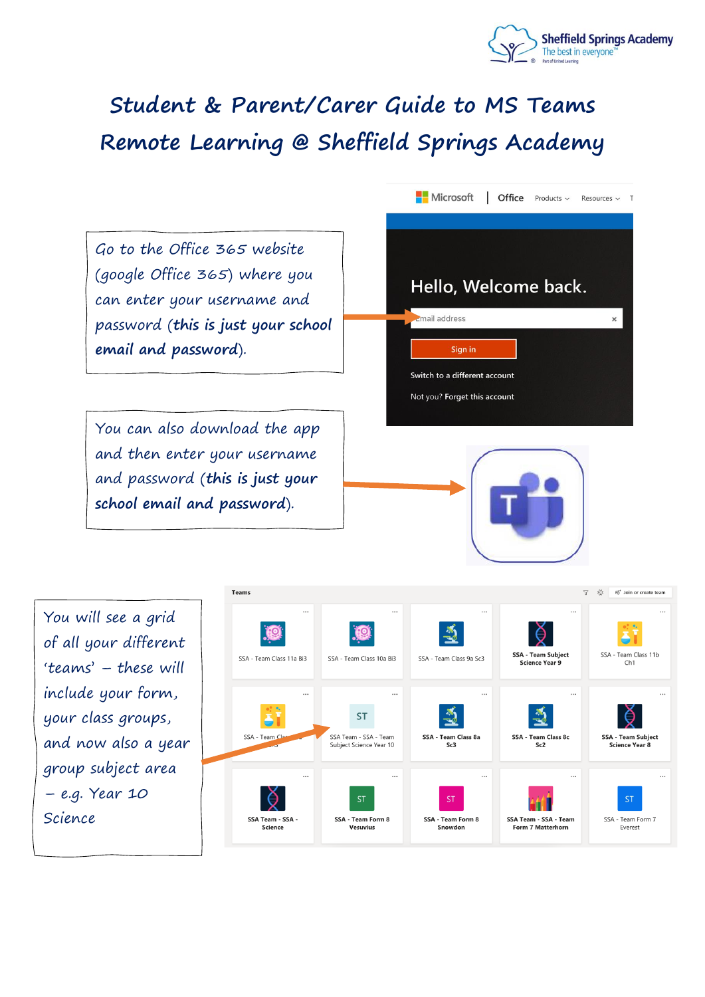

## **Student & Parent/Carer Guide to MS Teams Remote Learning @ Sheffield Springs Academy**

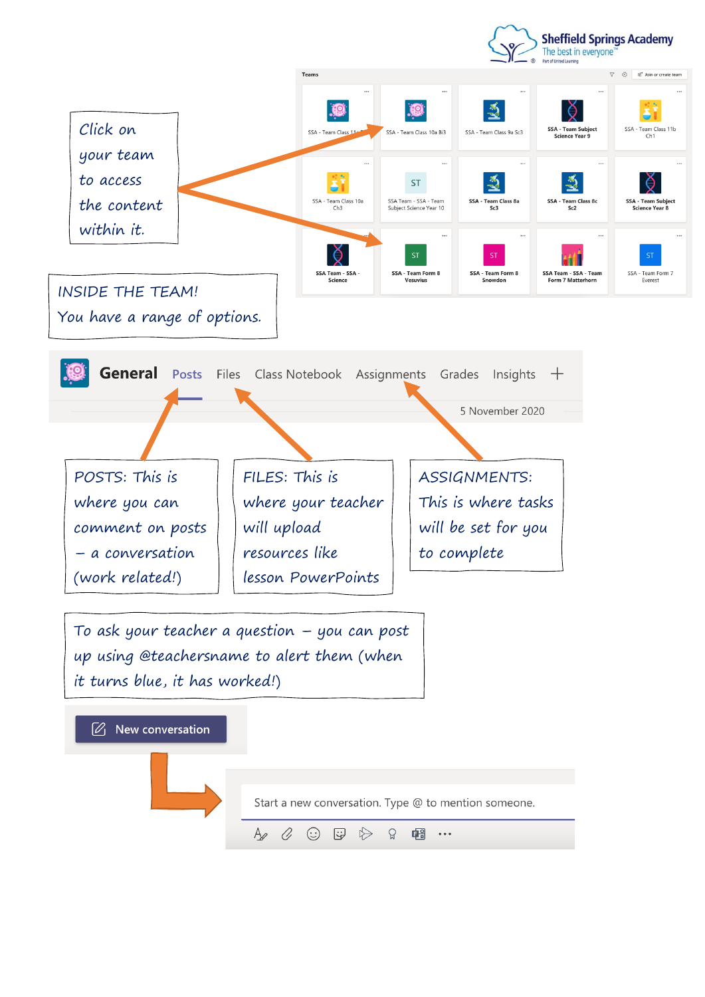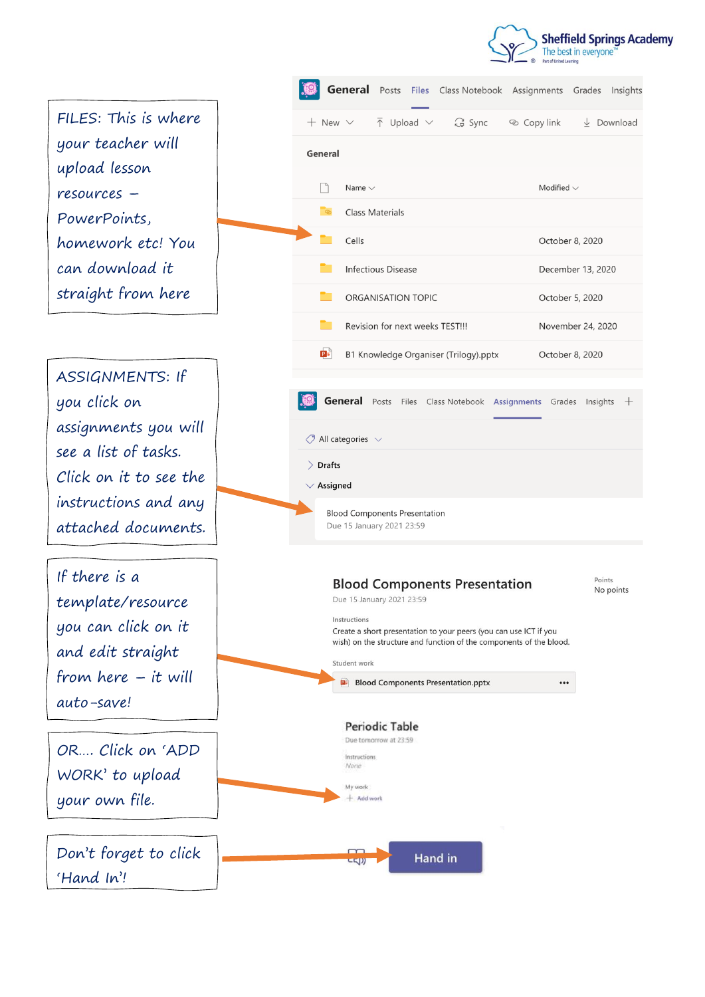